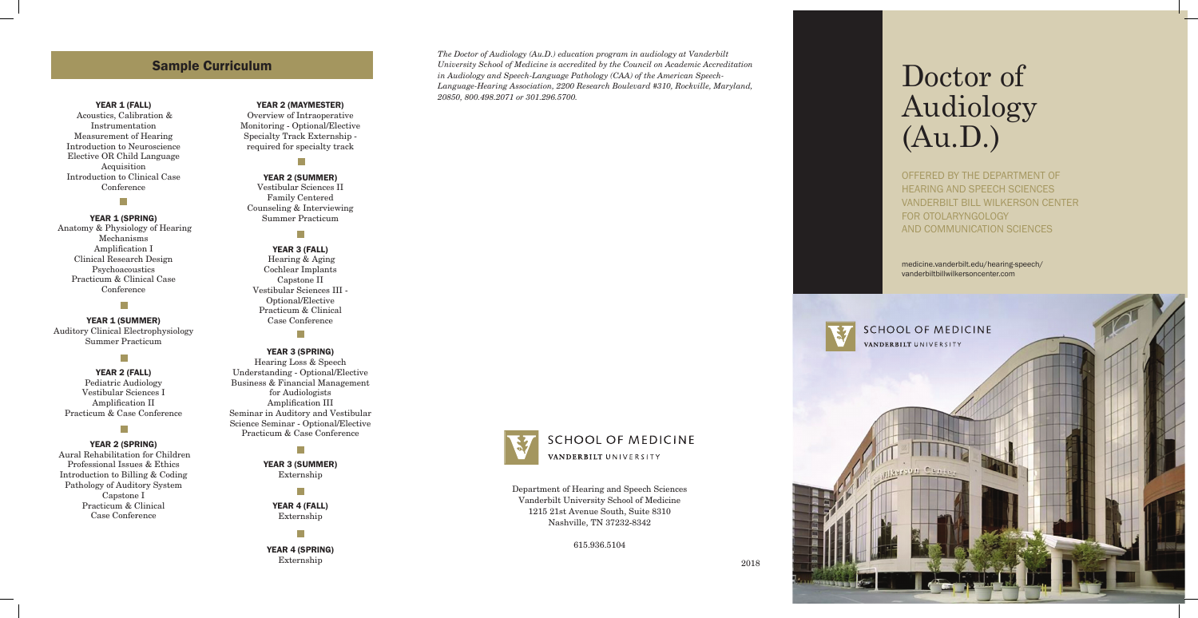Department of Hearing and Speech Sciences Vanderbilt University School of Medicine 1215 21st Avenue South, Suite 8310 Nashville, TN 37232-8342

615.936.5104

# Doctor of Audiology (Au.D.)

OFFERED BY THE DEPARTMENT OF HEARING AND SPEECH SCIENCES VANDERBILT BILL WILKERSON CENTER FOR OTOLARYNGOLOGY AND COMMUNICATION SCIENCES

# Sample Curriculum

#### YEAR 1 (FALL)

# $\overline{\phantom{a}}$ Year 1 (SUMMER )

 Acoustics, Calibration & Instrumentation Measurement of Hearing Introduction to Neuroscience Elective OR Child Language Acquisition Introduction to Clinical Case Conference

# $\overline{\phantom{a}}$

#### Year 1 (SP RING)

 Anatomy & Physiology of Hearing Mechanisms Amplification I Clinical Research Design Psychoacoustics Practicum & Clinical Case Conference

Auditory Clinical Electrophysiology Summer Practicum

# m,

Year 2 (FALL) Pediatric Audiology Vestibular Sciences I Amplification II Practicum & Case Conference

# T.

#### Year 2 (SP RING)

YEAR 4 (SPRING) Externship 2018

H

 Aural Rehabilitation for Children Professional Issues & Ethics Introduction to Billing & Coding Pathology of Auditory System Capstone I Practicum & Clinical Case Conference

#### YEAR 2 (MAYMESTER)

Overview of Intraoperative Monitoring - Optional/Elective Specialty Track Externship required for specialty track

 $\mathcal{C}^{\mathcal{A}}$ 

Year 2 (SUMMER ) Vestibular Sciences II Family Centered Counseling & Interviewing Summer Practicum

#### $\overline{\phantom{a}}$

#### Year 3 (FALL)

 Hearing & Aging Cochlear Implants Capstone II Vestibular Sciences III - Optional/Elective Practicum & Clinical Case Conference

 $\mathbb{R}^n$ 

#### Year 3 (SP RING)

Hearing Loss & Speech Understanding - Optional/Elective Business & Financial Management for Audiologists Amplification III Seminar in Auditory and Vestibular Science Seminar - Optional/Elective Practicum & Case Conference

YEAR 3 (SUMMER) Externship

 $\mathbb{R}^n$ 

 $\mathbb{R}^n$ 

YEAR 4 (FALL) Externship

*The Doctor of Audiology (Au.D.) education program in audiology at Vanderbilt University School of Medicine is accredited by the Council on Academic Accreditation in Audiology and Speech-Language Pathology (CAA) of the American Speech-Language-Hearing Association, 2200 Research Boulevard #310, Rockville, Maryland, 20850, 800.498.2071 or 301.296.5700.*



# **SCHOOL OF MEDICINE** VANDERBILT UNIVERSITY

medicine.vanderbilt.edu/hearing-speech/ vanderbiltbillwilkersoncenter.com